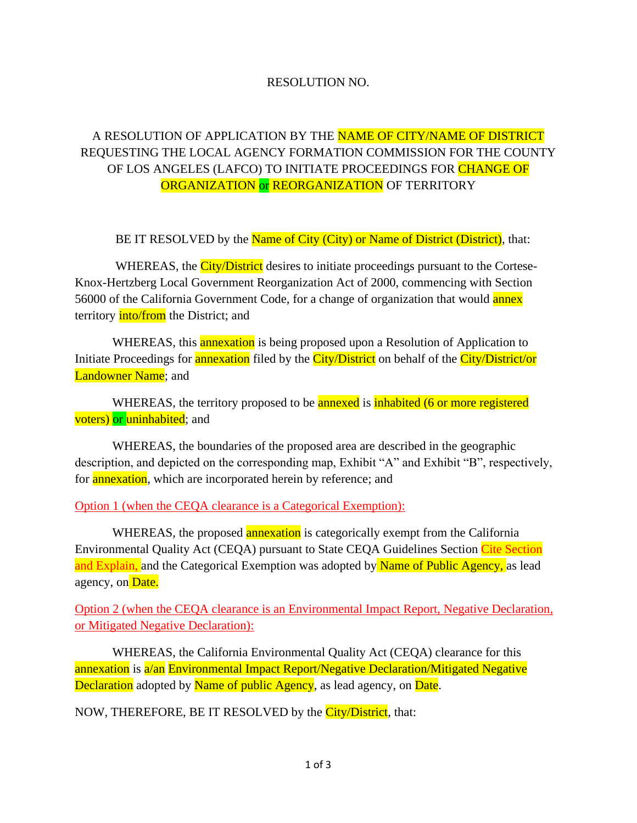#### RESOLUTION NO.

# A RESOLUTION OF APPLICATION BY THE NAME OF CITY/NAME OF DISTRICT REQUESTING THE LOCAL AGENCY FORMATION COMMISSION FOR THE COUNTY OF LOS ANGELES (LAFCO) TO INITIATE PROCEEDINGS FOR CHANGE OF ORGANIZATION or REORGANIZATION OF TERRITORY

BE IT RESOLVED by the Name of City (City) or Name of District (District), that:

WHEREAS, the City/District desires to initiate proceedings pursuant to the Cortese-Knox-Hertzberg Local Government Reorganization Act of 2000, commencing with Section 56000 of the California Government Code, for a change of organization that would **annex** territory **into/from** the District; and

WHEREAS, this annexation is being proposed upon a Resolution of Application to Initiate Proceedings for **annexation** filed by the *City/District* on behalf of the *City/District/or* Landowner Name; and

WHEREAS, the territory proposed to be **annexed** is **inhabited** (6 or more registered voters) or uninhabited; and

WHEREAS, the boundaries of the proposed area are described in the geographic description, and depicted on the corresponding map, Exhibit "A" and Exhibit "B", respectively, for **annexation**, which are incorporated herein by reference; and

Option 1 (when the CEQA clearance is a Categorical Exemption):

WHEREAS, the proposed **annexation** is categorically exempt from the California Environmental Quality Act (CEQA) pursuant to State CEQA Guidelines Section Cite Section and Explain, and the Categorical Exemption was adopted by Name of Public Agency, as lead agency, on Date.

Option 2 (when the CEQA clearance is an Environmental Impact Report, Negative Declaration, or Mitigated Negative Declaration):

WHEREAS, the California Environmental Quality Act (CEQA) clearance for this annexation is a/an Environmental Impact Report/Negative Declaration/Mitigated Negative Declaration adopted by Name of public Agency, as lead agency, on Date.

NOW, THEREFORE, BE IT RESOLVED by the City/District, that: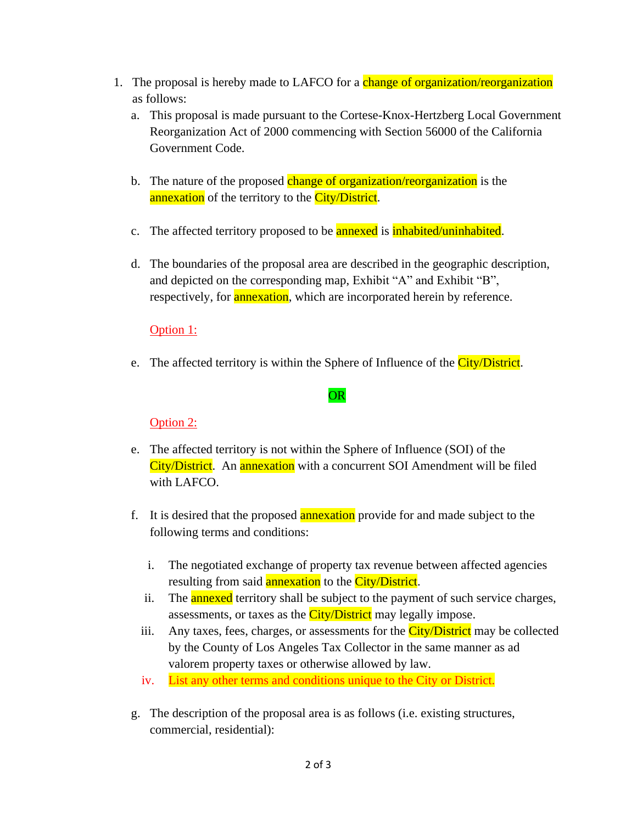- 1. The proposal is hereby made to LAFCO for a change of organization/reorganization as follows:
	- a. This proposal is made pursuant to the Cortese-Knox-Hertzberg Local Government Reorganization Act of 2000 commencing with Section 56000 of the California Government Code.
	- b. The nature of the proposed change of organization/reorganization is the annexation of the territory to the City/District.
	- c. The affected territory proposed to be **annexed** is **inhabited**/uninhabited.
	- d. The boundaries of the proposal area are described in the geographic description, and depicted on the corresponding map, Exhibit "A" and Exhibit "B", respectively, for **annexation**, which are incorporated herein by reference.

### Option 1:

e. The affected territory is within the Sphere of Influence of the City/District.

#### OR

#### Option 2:

- e. The affected territory is not within the Sphere of Influence (SOI) of the City/District. An annexation with a concurrent SOI Amendment will be filed with LAFCO.
- f. It is desired that the proposed annexation provide for and made subject to the following terms and conditions:
	- i. The negotiated exchange of property tax revenue between affected agencies resulting from said **annexation** to the City/District.
	- ii. The **annexed** territory shall be subject to the payment of such service charges, assessments, or taxes as the *City/District* may legally impose.
	- iii. Any taxes, fees, charges, or assessments for the  $\frac{City/Distinct}{matrix}$  may be collected by the County of Los Angeles Tax Collector in the same manner as ad valorem property taxes or otherwise allowed by law.
	- iv. List any other terms and conditions unique to the City or District.
- g. The description of the proposal area is as follows (i.e. existing structures, commercial, residential):